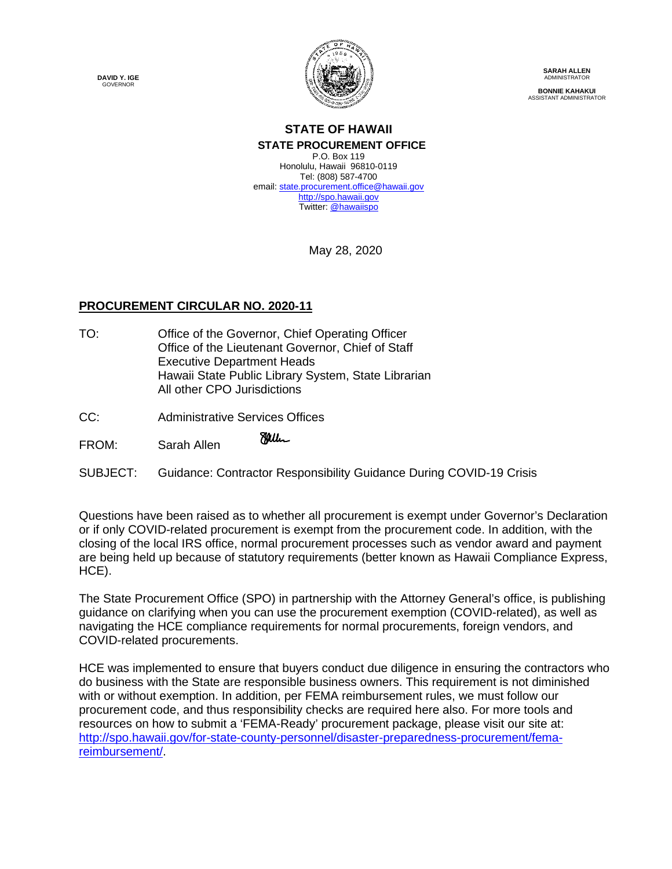**DAVID Y. IGE GOVERNOR** 



**SARAH ALLEN** ADMINISTRATOR **BONNIE KAHAKUI** ASSISTANT ADMINISTRATOR

#### **STATE OF HAWAII STATE PROCUREMENT OFFICE** P.O. Box 119

Honolulu, Hawaii 96810-0119 Tel: (808) 587-4700 email: state.procurement.office@hawaii.gov http://spo.hawaii.gov Twitter: @hawaiispo

May 28, 2020

# **PROCUREMENT CIRCULAR NO. 2020-11**

- TO: Office of the Governor, Chief Operating Officer Office of the Lieutenant Governor, Chief of Staff Executive Department Heads Hawaii State Public Library System, State Librarian All other CPO Jurisdictions
- CC: Administrative Services Offices

Miller FROM: Sarah Allen

SUBJECT: Guidance: Contractor Responsibility Guidance During COVID-19 Crisis

Questions have been raised as to whether all procurement is exempt under Governor's Declaration or if only COVID-related procurement is exempt from the procurement code. In addition, with the closing of the local IRS office, normal procurement processes such as vendor award and payment are being held up because of statutory requirements (better known as Hawaii Compliance Express, HCE).

The State Procurement Office (SPO) in partnership with the Attorney General's office, is publishing guidance on clarifying when you can use the procurement exemption (COVID-related), as well as navigating the HCE compliance requirements for normal procurements, foreign vendors, and COVID-related procurements.

HCE was implemented to ensure that buyers conduct due diligence in ensuring the contractors who do business with the State are responsible business owners. This requirement is not diminished with or without exemption. In addition, per FEMA reimbursement rules, we must follow our procurement code, and thus responsibility checks are required here also. For more tools and resources on how to submit a 'FEMA-Ready' procurement package, please visit our site at: http://spo.hawaii.gov/for-state-county-personnel/disaster-preparedness-procurement/femareimbursement/.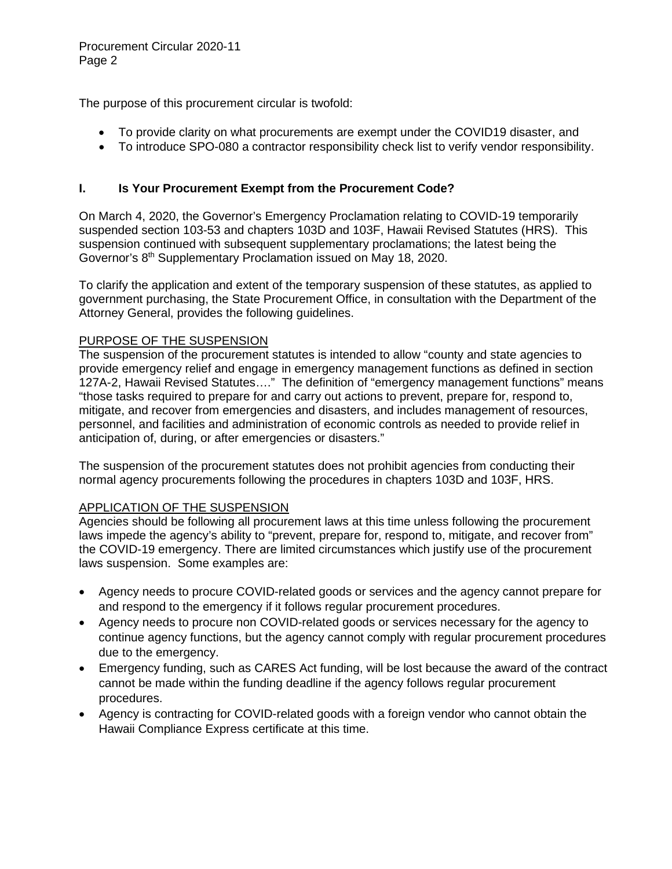The purpose of this procurement circular is twofold:

- To provide clarity on what procurements are exempt under the COVID19 disaster, and
- To introduce SPO-080 a contractor responsibility check list to verify vendor responsibility.

# **I. Is Your Procurement Exempt from the Procurement Code?**

On March 4, 2020, the Governor's Emergency Proclamation relating to COVID-19 temporarily suspended section 103-53 and chapters 103D and 103F, Hawaii Revised Statutes (HRS). This suspension continued with subsequent supplementary proclamations; the latest being the Governor's 8th Supplementary Proclamation issued on May 18, 2020.

To clarify the application and extent of the temporary suspension of these statutes, as applied to government purchasing, the State Procurement Office, in consultation with the Department of the Attorney General, provides the following guidelines.

### PURPOSE OF THE SUSPENSION

The suspension of the procurement statutes is intended to allow "county and state agencies to provide emergency relief and engage in emergency management functions as defined in section 127A-2, Hawaii Revised Statutes…." The definition of "emergency management functions" means "those tasks required to prepare for and carry out actions to prevent, prepare for, respond to, mitigate, and recover from emergencies and disasters, and includes management of resources, personnel, and facilities and administration of economic controls as needed to provide relief in anticipation of, during, or after emergencies or disasters."

The suspension of the procurement statutes does not prohibit agencies from conducting their normal agency procurements following the procedures in chapters 103D and 103F, HRS.

### APPLICATION OF THE SUSPENSION

Agencies should be following all procurement laws at this time unless following the procurement laws impede the agency's ability to "prevent, prepare for, respond to, mitigate, and recover from" the COVID-19 emergency. There are limited circumstances which justify use of the procurement laws suspension. Some examples are:

- Agency needs to procure COVID-related goods or services and the agency cannot prepare for and respond to the emergency if it follows regular procurement procedures.
- Agency needs to procure non COVID-related goods or services necessary for the agency to continue agency functions, but the agency cannot comply with regular procurement procedures due to the emergency.
- Emergency funding, such as CARES Act funding, will be lost because the award of the contract cannot be made within the funding deadline if the agency follows regular procurement procedures.
- Agency is contracting for COVID-related goods with a foreign vendor who cannot obtain the Hawaii Compliance Express certificate at this time.